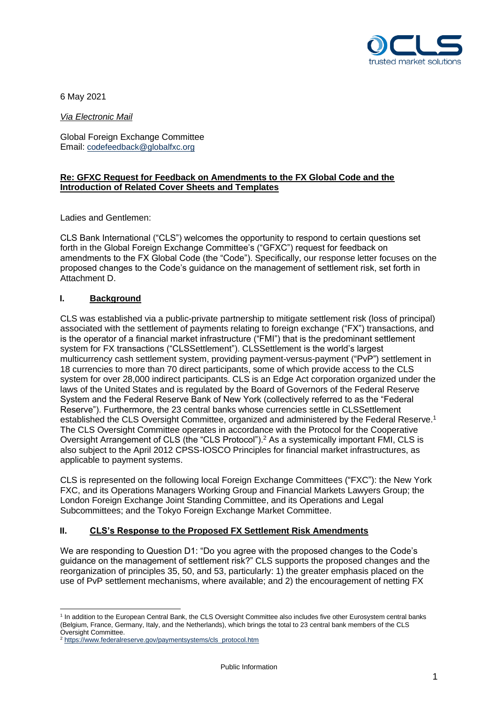

6 May 2021

*Via Electronic Mail*

Global Foreign Exchange Committee Email: [codefeedback@globalfxc.org](mailto:codefeedback@globalfxc.org)

## **Re: GFXC Request for Feedback on Amendments to the FX Global Code and the Introduction of Related Cover Sheets and Templates**

Ladies and Gentlemen:

CLS Bank International ("CLS") welcomes the opportunity to respond to certain questions set forth in the Global Foreign Exchange Committee's ("GFXC") request for feedback on amendments to the FX Global Code (the "Code"). Specifically, our response letter focuses on the proposed changes to the Code's guidance on the management of settlement risk, set forth in Attachment D.

## **I. Background**

CLS was established via a public-private partnership to mitigate settlement risk (loss of principal) associated with the settlement of payments relating to foreign exchange ("FX") transactions, and is the operator of a financial market infrastructure ("FMI") that is the predominant settlement system for FX transactions ("CLSSettlement"). CLSSettlement is the world's largest multicurrency cash settlement system, providing payment-versus-payment ("PvP") settlement in 18 currencies to more than 70 direct participants, some of which provide access to the CLS system for over 28,000 indirect participants. CLS is an Edge Act corporation organized under the laws of the United States and is regulated by the Board of Governors of the Federal Reserve System and the Federal Reserve Bank of New York (collectively referred to as the "Federal Reserve"). Furthermore, the 23 central banks whose currencies settle in CLSSettlement established the CLS Oversight Committee, organized and administered by the Federal Reserve.<sup>1</sup> The CLS Oversight Committee operates in accordance with the Protocol for the Cooperative Oversight Arrangement of CLS (the "CLS Protocol").<sup>2</sup> As a systemically important FMI, CLS is also subject to the April 2012 CPSS-IOSCO Principles for financial market infrastructures, as applicable to payment systems.

CLS is represented on the following local Foreign Exchange Committees ("FXC"): the New York FXC, and its Operations Managers Working Group and Financial Markets Lawyers Group; the London Foreign Exchange Joint Standing Committee, and its Operations and Legal Subcommittees; and the Tokyo Foreign Exchange Market Committee.

## **II. CLS's Response to the Proposed FX Settlement Risk Amendments**

We are responding to Question D1: "Do you agree with the proposed changes to the Code's guidance on the management of settlement risk?" CLS supports the proposed changes and the reorganization of principles 35, 50, and 53, particularly: 1) the greater emphasis placed on the use of PvP settlement mechanisms, where available; and 2) the encouragement of netting FX

<sup>1</sup> In addition to the European Central Bank, the CLS Oversight Committee also includes five other Eurosystem central banks (Belgium, France, Germany, Italy, and the Netherlands), which brings the total to 23 central bank members of the CLS Oversight Committee.

<sup>&</sup>lt;sup>2</sup> [https://www.federalreserve.gov/paymentsystems/cls\\_protocol.htm](https://www.federalreserve.gov/paymentsystems/cls_protocol.htm)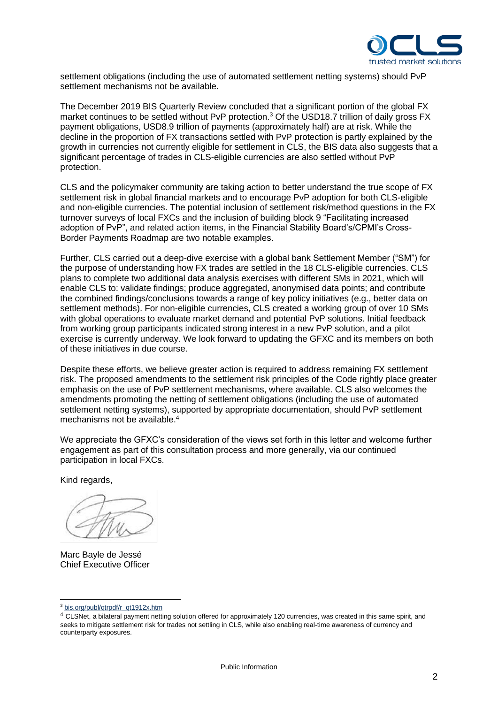

settlement obligations (including the use of automated settlement netting systems) should PvP settlement mechanisms not be available.

The December 2019 BIS Quarterly Review concluded that a significant portion of the global FX market continues to be settled without PvP protection.<sup>3</sup> Of the USD18.7 trillion of daily gross FX payment obligations, USD8.9 trillion of payments (approximately half) are at risk. While the decline in the proportion of FX transactions settled with PvP protection is partly explained by the growth in currencies not currently eligible for settlement in CLS, the BIS data also suggests that a significant percentage of trades in CLS-eligible currencies are also settled without PvP protection.

CLS and the policymaker community are taking action to better understand the true scope of FX settlement risk in global financial markets and to encourage PvP adoption for both CLS-eligible and non-eligible currencies. The potential inclusion of settlement risk/method questions in the FX turnover surveys of local FXCs and the inclusion of building block 9 "Facilitating increased adoption of PvP", and related action items, in the Financial Stability Board's/CPMI's Cross-Border Payments Roadmap are two notable examples.

Further, CLS carried out a deep-dive exercise with a global bank Settlement Member ("SM") for the purpose of understanding how FX trades are settled in the 18 CLS-eligible currencies. CLS plans to complete two additional data analysis exercises with different SMs in 2021, which will enable CLS to: validate findings; produce aggregated, anonymised data points; and contribute the combined findings/conclusions towards a range of key policy initiatives (e.g., better data on settlement methods). For non-eligible currencies, CLS created a working group of over 10 SMs with global operations to evaluate market demand and potential PvP solutions. Initial feedback from working group participants indicated strong interest in a new PvP solution, and a pilot exercise is currently underway. We look forward to updating the GFXC and its members on both of these initiatives in due course.

Despite these efforts, we believe greater action is required to address remaining FX settlement risk. The proposed amendments to the settlement risk principles of the Code rightly place greater emphasis on the use of PvP settlement mechanisms, where available. CLS also welcomes the amendments promoting the netting of settlement obligations (including the use of automated settlement netting systems), supported by appropriate documentation, should PvP settlement mechanisms not be available. 4

We appreciate the GFXC's consideration of the views set forth in this letter and welcome further engagement as part of this consultation process and more generally, via our continued participation in local FXCs.

Kind regards,

Marc Bayle de Jessé Chief Executive Officer

<sup>3</sup> [bis.org/publ/qtrpdf/r\\_qt1912x.htm](https://clshub.prod.local/sites/ppv2/Documents/GFXC/bis.org/publ/qtrpdf/r_qt1912x.htm)

<sup>4</sup> CLSNet, a bilateral payment netting solution offered for approximately 120 currencies, was created in this same spirit, and seeks to mitigate settlement risk for trades not settling in CLS, while also enabling real-time awareness of currency and counterparty exposures.